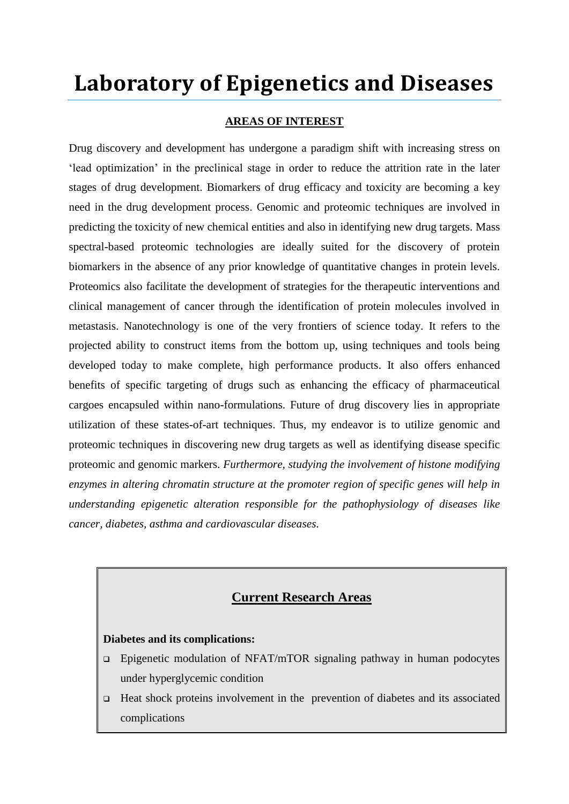## **Laboratory of Epigenetics and Diseases**

### **AREAS OF INTEREST**

Drug discovery and development has undergone a paradigm shift with increasing stress on ‗lead optimization' in the preclinical stage in order to reduce the attrition rate in the later stages of drug development. Biomarkers of drug efficacy and toxicity are becoming a key need in the drug development process. Genomic and proteomic techniques are involved in predicting the toxicity of new chemical entities and also in identifying new drug targets. Mass spectral-based proteomic technologies are ideally suited for the discovery of protein biomarkers in the absence of any prior knowledge of quantitative changes in protein levels. Proteomics also facilitate the development of strategies for the therapeutic interventions and clinical management of cancer through the identification of protein molecules involved in metastasis. Nanotechnology is one of the very frontiers of science today. It refers to the projected ability to construct items from the bottom up, using techniques and tools being developed today to make complete, high performance products. It also offers enhanced benefits of specific targeting of drugs such as enhancing the efficacy of pharmaceutical cargoes encapsuled within nano-formulations. Future of drug discovery lies in appropriate utilization of these states-of-art techniques. Thus, my endeavor is to utilize genomic and proteomic techniques in discovering new drug targets as well as identifying disease specific proteomic and genomic markers. *Furthermore, studying the involvement of histone modifying enzymes in altering chromatin structure at the promoter region of specific genes will help in understanding epigenetic alteration responsible for the pathophysiology of diseases like cancer, diabetes, asthma and cardiovascular diseases.*

### **Current Research Areas**

### **Diabetes and its complications:**

- Epigenetic modulation of NFAT/mTOR signaling pathway in human podocytes under hyperglycemic condition
- $\Box$  Heat shock proteins involvement in the prevention of diabetes and its associated complications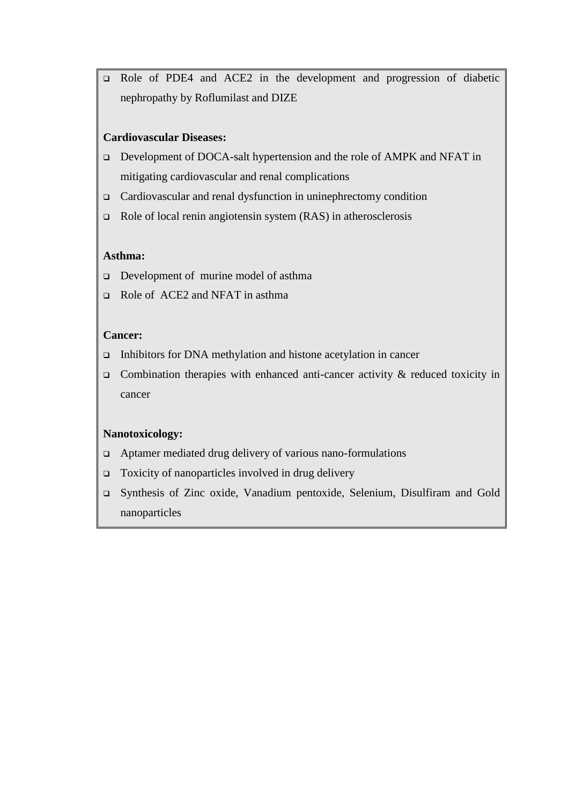Role of PDE4 and ACE2 in the development and progression of diabetic nephropathy by Roflumilast and DIZE

### **Cardiovascular Diseases:**

- Development of DOCA-salt hypertension and the role of AMPK and NFAT in mitigating cardiovascular and renal complications
- Cardiovascular and renal dysfunction in uninephrectomy condition
- Role of local renin angiotensin system (RAS) in atherosclerosis

### **Asthma:**

- Development of murine model of asthma
- Role of ACE2 and NFAT in asthma

#### **Cancer:**

- Inhibitors for DNA methylation and histone acetylation in cancer
- Combination therapies with enhanced anti-cancer activity  $\&$  reduced toxicity in cancer

### **Nanotoxicology:**

- Aptamer mediated drug delivery of various nano-formulations
- Toxicity of nanoparticles involved in drug delivery
- Synthesis of Zinc oxide, Vanadium pentoxide, Selenium, Disulfiram and Gold nanoparticles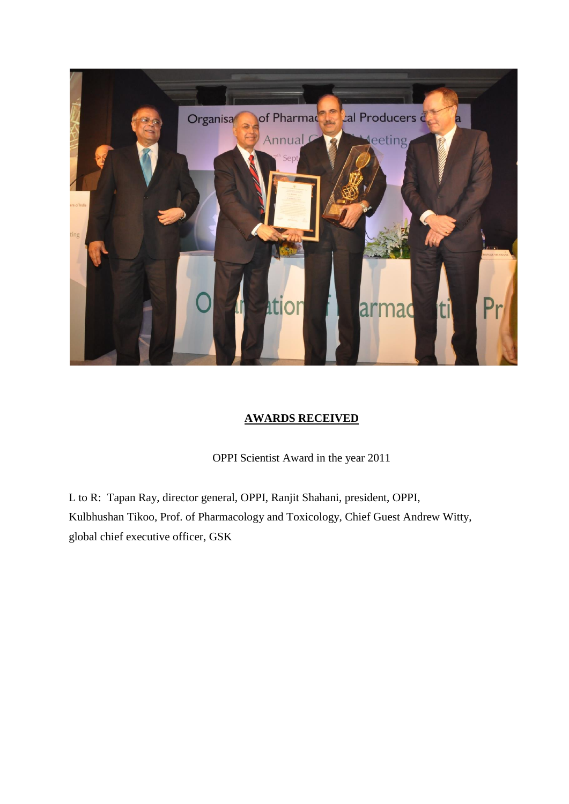

### **AWARDS RECEIVED**

OPPI Scientist Award in the year 2011

L to R: Tapan Ray, director general, OPPI, Ranjit Shahani, president, OPPI, Kulbhushan Tikoo, Prof. of Pharmacology and Toxicology, Chief Guest Andrew Witty, global chief executive officer, GSK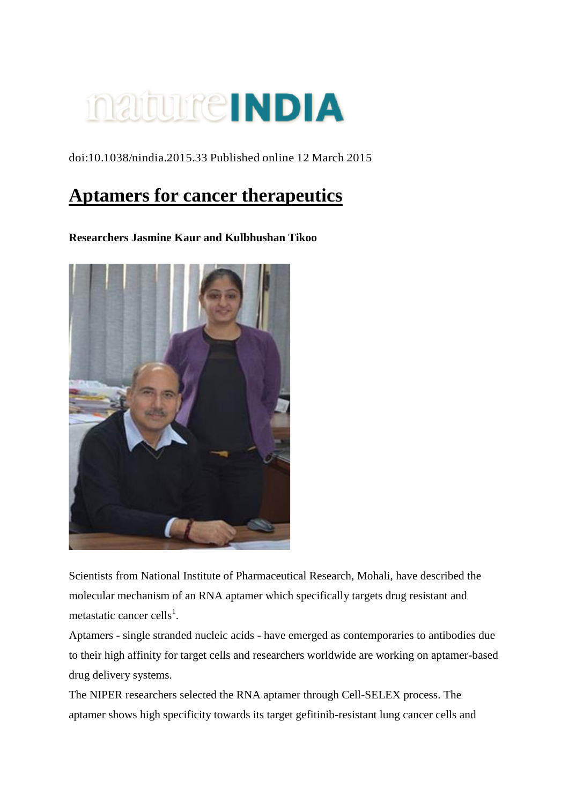[doi:10.1038/nindia.2015.33](http://www.natureasia.com/en/nindia/our-picks) Published online 12 March 2015

### **Aptamers for cancer therapeutics**

### **Researchers Jasmine Kaur and Kulbhushan Tikoo**



Scientists from National Institute of Pharmaceutical Research, Mohali, have described the molecular mechanism of an RNA aptamer which specifically targets drug resistant and metastatic cancer cells<sup>1</sup>.

Aptamers - single stranded nucleic acids - have emerged as contemporaries to antibodies due to their high affinity for target cells and researchers worldwide are working on aptamer-based drug delivery systems.

The NIPER researchers selected the RNA aptamer through Cell-SELEX process. The aptamer shows high specificity towards its target gefitinib-resistant lung cancer cells and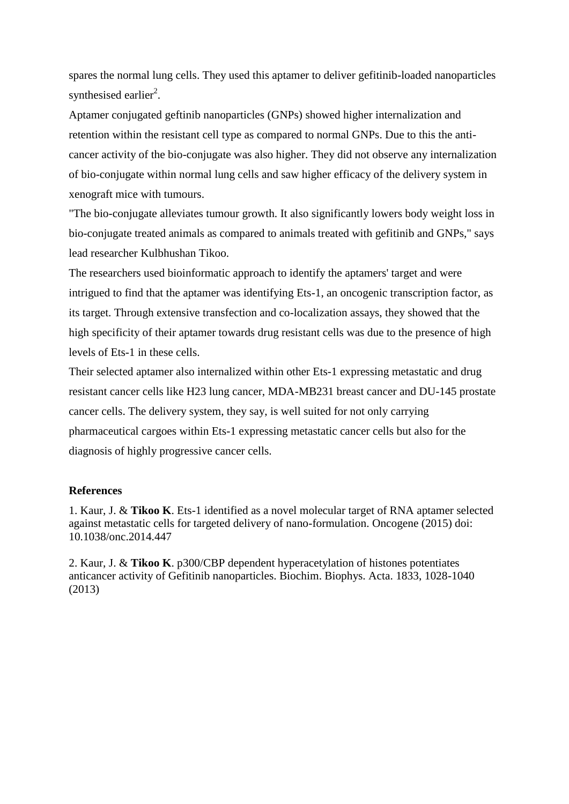spares the normal lung cells. They used this aptamer to deliver gefitinib-loaded nanoparticles synthesised earlier<sup>2</sup>.

Aptamer conjugated geftinib nanoparticles (GNPs) showed higher internalization and retention within the resistant cell type as compared to normal GNPs. Due to this the anticancer activity of the bio-conjugate was also higher. They did not observe any internalization of bio-conjugate within normal lung cells and saw higher efficacy of the delivery system in xenograft mice with tumours.

"The bio-conjugate alleviates tumour growth. It also significantly lowers body weight loss in bio-conjugate treated animals as compared to animals treated with gefitinib and GNPs," says lead researcher Kulbhushan Tikoo.

The researchers used bioinformatic approach to identify the aptamers' target and were intrigued to find that the aptamer was identifying Ets-1, an oncogenic transcription factor, as its target. Through extensive transfection and co-localization assays, they showed that the high specificity of their aptamer towards drug resistant cells was due to the presence of high levels of Ets-1 in these cells.

Their selected aptamer also internalized within other Ets-1 expressing metastatic and drug resistant cancer cells like H23 lung cancer, MDA-MB231 breast cancer and DU-145 prostate cancer cells. The delivery system, they say, is well suited for not only carrying pharmaceutical cargoes within Ets-1 expressing metastatic cancer cells but also for the diagnosis of highly progressive cancer cells.

### **References**

1. Kaur, J. & **Tikoo K**. Ets-1 identified as a novel molecular target of RNA aptamer selected against metastatic cells for targeted delivery of nano-formulation. Oncogene (2015) doi: 10.1038/onc.2014.447

2. Kaur, J. & **Tikoo K**. p300/CBP dependent hyperacetylation of histones potentiates anticancer activity of Gefitinib nanoparticles. Biochim. Biophys. Acta. 1833, 1028-1040 (2013)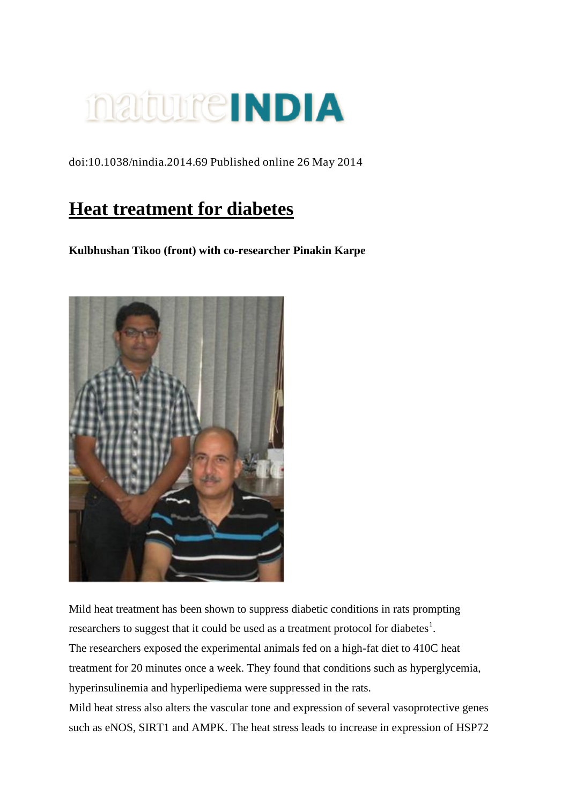[doi:10.1038/nindia.2014.69](http://www.natureasia.com/en/nindia/our-picks) Published online 26 May 2014

### **Heat treatment for diabetes**

**Kulbhushan Tikoo (front) with co-researcher Pinakin Karpe**



Mild heat treatment has been shown to suppress diabetic conditions in rats prompting researchers to suggest that it could be used as a treatment protocol for diabetes<sup>1</sup>. The researchers exposed the experimental animals fed on a high-fat diet to 410C heat treatment for 20 minutes once a week. They found that conditions such as hyperglycemia, hyperinsulinemia and hyperlipediema were suppressed in the rats.

Mild heat stress also alters the vascular tone and expression of several vasoprotective genes such as eNOS, SIRT1 and AMPK. The heat stress leads to increase in expression of HSP72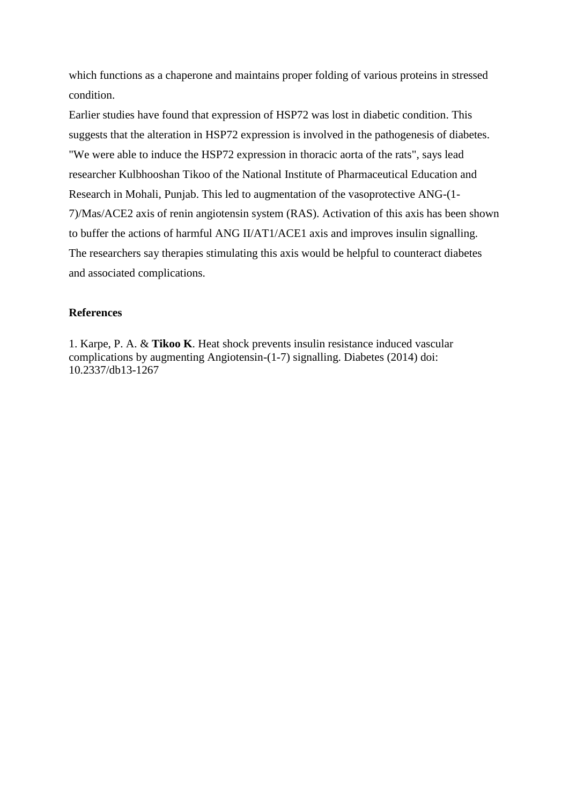which functions as a chaperone and maintains proper folding of various proteins in stressed condition.

Earlier studies have found that expression of HSP72 was lost in diabetic condition. This suggests that the alteration in HSP72 expression is involved in the pathogenesis of diabetes. "We were able to induce the HSP72 expression in thoracic aorta of the rats", says lead researcher Kulbhooshan Tikoo of the National Institute of Pharmaceutical Education and Research in Mohali, Punjab. This led to augmentation of the vasoprotective ANG-(1- 7)/Mas/ACE2 axis of renin angiotensin system (RAS). Activation of this axis has been shown to buffer the actions of harmful ANG II/AT1/ACE1 axis and improves insulin signalling. The researchers say therapies stimulating this axis would be helpful to counteract diabetes and associated complications.

### **References**

1. Karpe, P. A. & **Tikoo K**. Heat shock prevents insulin resistance induced vascular complications by augmenting Angiotensin-(1-7) signalling. Diabetes (2014) doi: 10.2337/db13-1267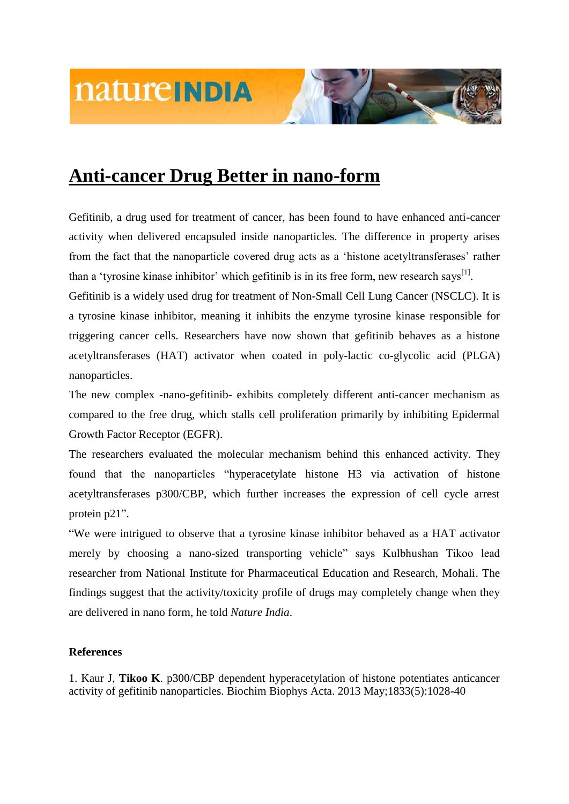

Gefitinib, a drug used for treatment of cancer, has been found to have enhanced anti-cancer activity when delivered encapsuled inside nanoparticles. The difference in property arises from the fact that the nanoparticle covered drug acts as a 'histone acetyltransferases' rather than a 'tyrosine kinase inhibitor' which gefitinib is in its free form, new research says<sup>[1]</sup>.

Gefitinib is a widely used drug for treatment of Non-Small Cell Lung Cancer (NSCLC). It is a tyrosine kinase inhibitor, meaning it inhibits the enzyme tyrosine kinase responsible for triggering cancer cells. Researchers have now shown that gefitinib behaves as a histone acetyltransferases (HAT) activator when coated in poly-lactic co-glycolic acid (PLGA) nanoparticles.

The new complex -nano-gefitinib- exhibits completely different anti-cancer mechanism as compared to the free drug, which stalls cell proliferation primarily by inhibiting Epidermal Growth Factor Receptor (EGFR).

The researchers evaluated the molecular mechanism behind this enhanced activity. They found that the nanoparticles "hyperacetylate histone H3 via activation of histone acetyltransferases p300/CBP, which further increases the expression of cell cycle arrest protein p21".

―We were intrigued to observe that a tyrosine kinase inhibitor behaved as a HAT activator merely by choosing a nano-sized transporting vehicle" says Kulbhushan Tikoo lead researcher from National Institute for Pharmaceutical Education and Research, Mohali. The findings suggest that the activity/toxicity profile of drugs may completely change when they are delivered in nano form, he told *Nature India*.

### **References**

1. Kaur J, **Tikoo K**. p300/CBP dependent hyperacetylation of histone potentiates anticancer activity of gefitinib nanoparticles. Biochim Biophys Acta. 2013 May;1833(5):1028-40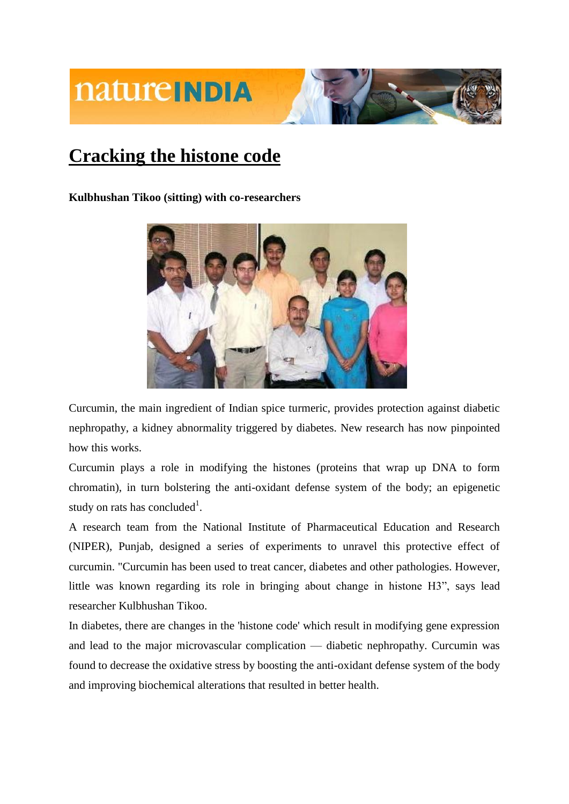### **Cracking the histone code**

**Kulbhushan Tikoo (sitting) with co-researchers**



Curcumin, the main ingredient of Indian spice turmeric, provides protection against diabetic nephropathy, a kidney abnormality triggered by diabetes. New research has now pinpointed how this works.

Curcumin plays a role in modifying the histones (proteins that wrap up DNA to form chromatin), in turn bolstering the anti-oxidant defense system of the body; an epigenetic study on rats has concluded<sup>1</sup>.

A research team from the National Institute of Pharmaceutical Education and Research (NIPER), Punjab, designed a series of experiments to unravel this protective effect of curcumin. "Curcumin has been used to treat cancer, diabetes and other pathologies. However, little was known regarding its role in bringing about change in histone H3", says lead researcher Kulbhushan Tikoo.

In diabetes, there are changes in the 'histone code' which result in modifying gene expression and lead to the major microvascular complication — diabetic nephropathy. Curcumin was found to decrease the oxidative stress by boosting the anti-oxidant defense system of the body and improving biochemical alterations that resulted in better health.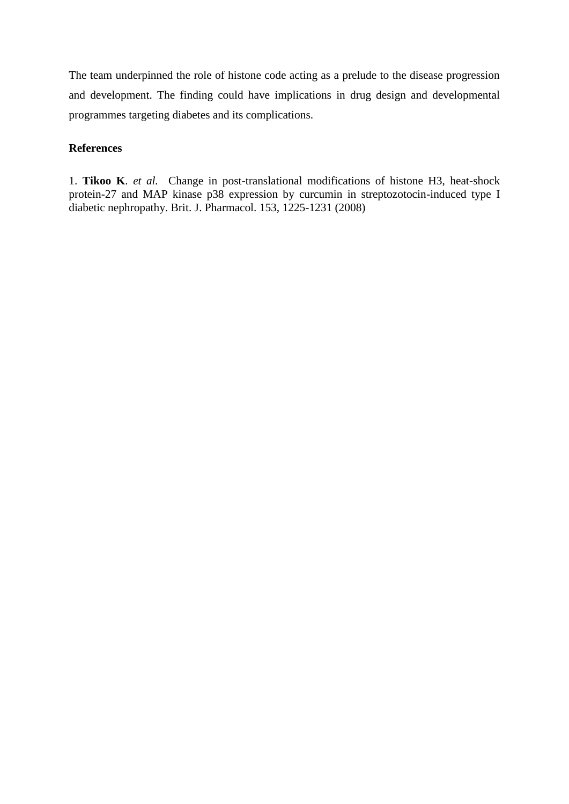The team underpinned the role of histone code acting as a prelude to the disease progression and development. The finding could have implications in drug design and developmental programmes targeting diabetes and its complications.

### **References**

1. **Tikoo K**. *et al.* Change in post-translational modifications of histone H3, heat-shock protein-27 and MAP kinase p38 expression by curcumin in streptozotocin-induced type I diabetic nephropathy. Brit. J. Pharmacol. 153, 1225-1231 (2008)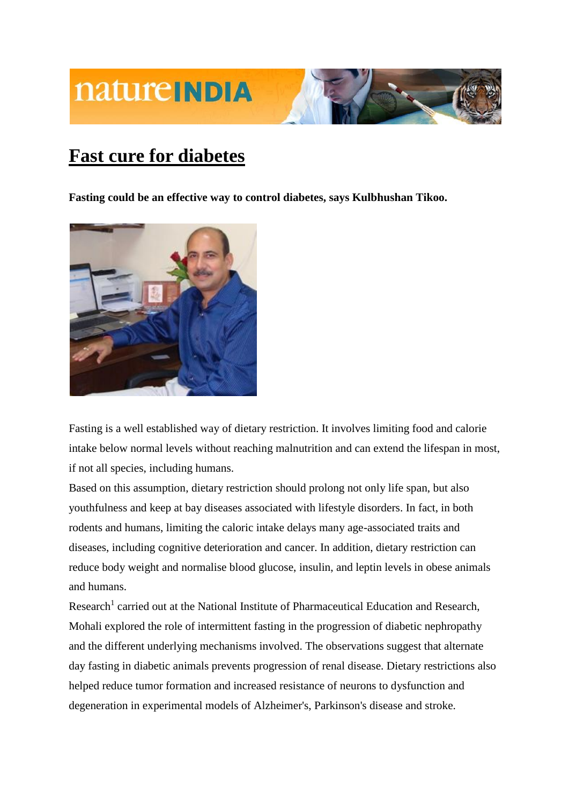

### **Fast cure for diabetes**

**Fasting could be an effective way to control diabetes, says Kulbhushan Tikoo.** 



Fasting is a well established way of dietary restriction. It involves limiting food and calorie intake below normal levels without reaching malnutrition and can extend the lifespan in most, if not all species, including humans.

Based on this assumption, dietary restriction should prolong not only life span, but also youthfulness and keep at bay diseases associated with lifestyle disorders. In fact, in both rodents and humans, limiting the caloric intake delays many age-associated traits and diseases, including cognitive deterioration and cancer. In addition, dietary restriction can reduce body weight and normalise blood glucose, insulin, and leptin levels in obese animals and humans.

Research<sup>[1](http://www.nature.com/nindia/2009/090617/full/nindia.2009.155.html#B1)</sup> carried out at the National Institute of Pharmaceutical Education and Research, Mohali explored the role of intermittent fasting in the progression of diabetic nephropathy and the different underlying mechanisms involved. The observations suggest that alternate day fasting in diabetic animals prevents progression of renal disease. Dietary restrictions also helped reduce tumor formation and increased resistance of neurons to dysfunction and degeneration in experimental models of Alzheimer's, Parkinson's disease and stroke.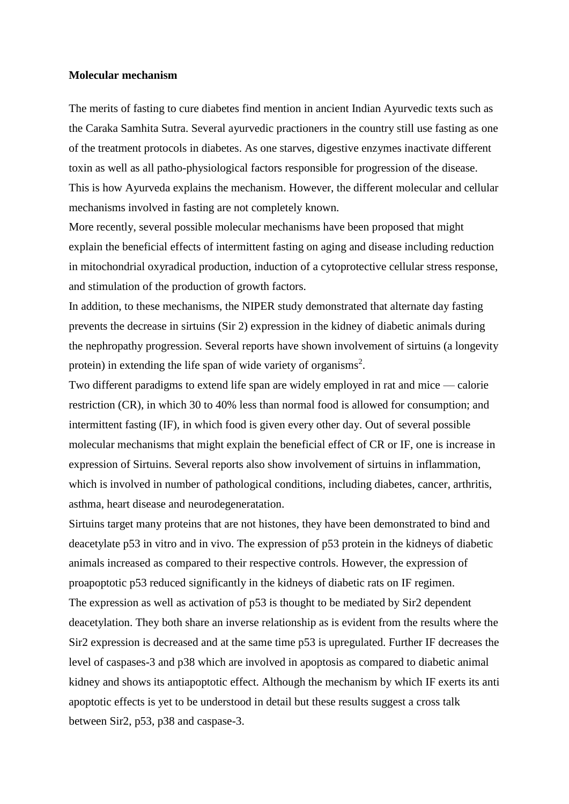#### **Molecular mechanism**

The merits of fasting to cure diabetes find mention in ancient Indian Ayurvedic texts such as the Caraka Samhita Sutra. Several ayurvedic practioners in the country still use fasting as one of the treatment protocols in diabetes. As one starves, digestive enzymes inactivate different toxin as well as all patho-physiological factors responsible for progression of the disease. This is how Ayurveda explains the mechanism. However, the different molecular and cellular mechanisms involved in fasting are not completely known.

More recently, several possible molecular mechanisms have been proposed that might explain the beneficial effects of intermittent fasting on aging and disease including reduction in mitochondrial oxyradical production, induction of a cytoprotective cellular stress response, and stimulation of the production of growth factors.

In addition, to these mechanisms, the NIPER study demonstrated that alternate day fasting prevents the decrease in sirtuins (Sir 2) expression in the kidney of diabetic animals during the nephropathy progression. Several reports have shown involvement of sirtuins (a longevity protein) in extending the life span of wide variety of organisms<sup>2</sup>[.](http://www.nature.com/nindia/2009/090617/full/nindia.2009.155.html#B2)

Two different paradigms to extend life span are widely employed in rat and mice — calorie restriction (CR), in which 30 to 40% less than normal food is allowed for consumption; and intermittent fasting (IF), in which food is given every other day. Out of several possible molecular mechanisms that might explain the beneficial effect of CR or IF, one is increase in expression of Sirtuins. Several reports also show involvement of sirtuins in inflammation, which is involved in number of pathological conditions, including diabetes, cancer, arthritis, asthma, heart disease and neurodegeneratation.

Sirtuins target many proteins that are not histones, they have been demonstrated to bind and deacetylate p53 in vitro and in vivo. The expression of p53 protein in the kidneys of diabetic animals increased as compared to their respective controls. However, the expression of proapoptotic p53 reduced significantly in the kidneys of diabetic rats on IF regimen. The expression as well as activation of p53 is thought to be mediated by Sir2 dependent deacetylation. They both share an inverse relationship as is evident from the results where the Sir2 expression is decreased and at the same time p53 is upregulated. Further IF decreases the level of caspases-3 and p38 which are involved in apoptosis as compared to diabetic animal kidney and shows its antiapoptotic effect. Although the mechanism by which IF exerts its anti apoptotic effects is yet to be understood in detail but these results suggest a cross talk between Sir2, p53, p38 and caspase-3.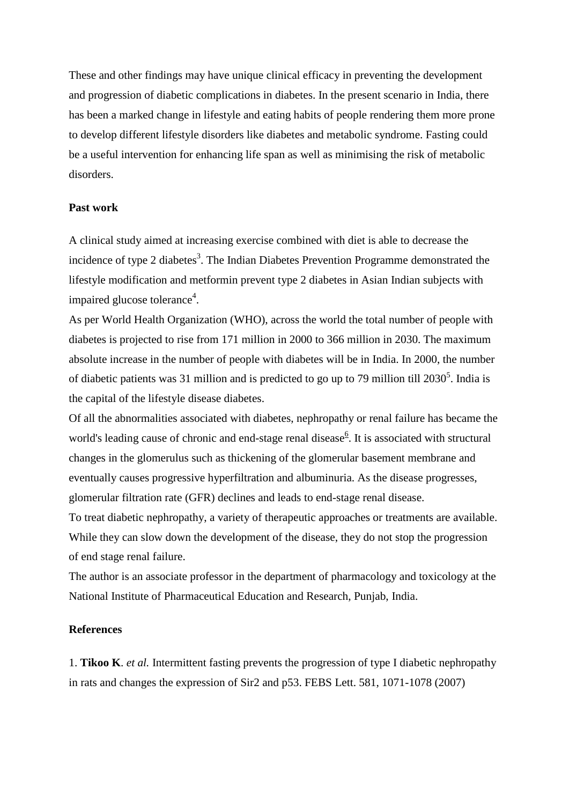These and other findings may have unique clinical efficacy in preventing the development and progression of diabetic complications in diabetes. In the present scenario in India, there has been a marked change in lifestyle and eating habits of people rendering them more prone to develop different lifestyle disorders like diabetes and metabolic syndrome. Fasting could be a useful intervention for enhancing life span as well as minimising the risk of metabolic disorders.

### **Past work**

A clinical study aimed at increasing exercise combined with diet is able to decrease the incidence of type 2 diabetes<sup>3</sup>. The Indian Diabetes Prevention Programme demonstrated the lifestyle modification and metformin prevent type 2 diabetes in Asian Indian subjects with impaired glucose tolerance<sup>4</sup>.

As per World Health Organization (WHO), across the world the total number of people with diabetes is projected to rise from 171 million in 2000 to 366 million in 2030. The maximum absolute increase in the number of people with diabetes will be in India. In 2000, the number of diabetic patients was 31 million and is predicted to go up to 79 million till  $2030^5$ . India is the capital of the lifestyle disease diabetes.

Of all the abnormalities associated with diabetes, nephropathy or renal failure has became the world's l[e](http://www.nature.com/nindia/2009/090617/full/nindia.2009.155.html#B6)ading cause of chronic and end-stage renal disease<sup>6</sup>. It is associated with structural changes in the glomerulus such as thickening of the glomerular basement membrane and eventually causes progressive hyperfiltration and albuminuria. As the disease progresses, glomerular filtration rate (GFR) declines and leads to end-stage renal disease.

To treat diabetic nephropathy, a variety of therapeutic approaches or treatments are available. While they can slow down the development of the disease, they do not stop the progression of end stage renal failure.

The author is an associate professor in the department of pharmacology and toxicology at the National Institute of Pharmaceutical Education and Research, Punjab, India.

#### **References**

1. **Tikoo K**. *et al.* Intermittent fasting prevents the progression of type I diabetic nephropathy in rats and changes the expression of Sir2 and p53. FEBS Lett. 581, 1071-1078 (2007)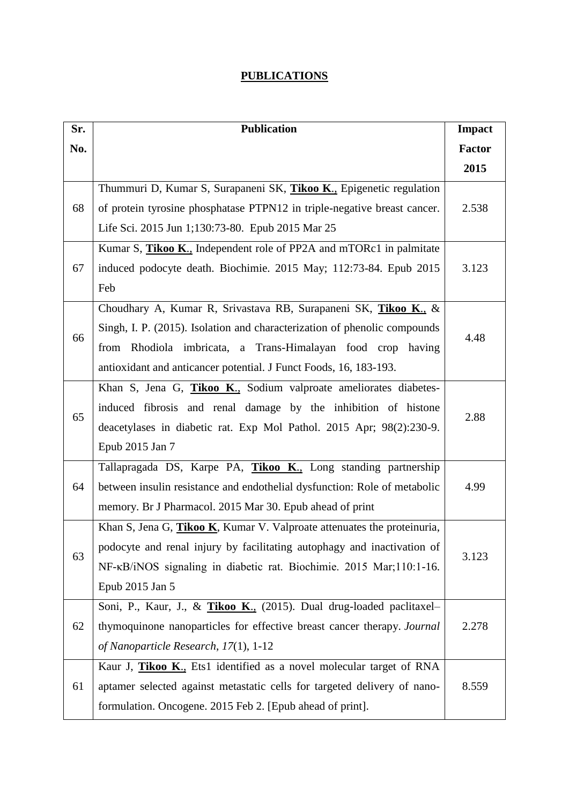### **PUBLICATIONS**

| Sr. | <b>Publication</b>                                                              |               |  |
|-----|---------------------------------------------------------------------------------|---------------|--|
| No. |                                                                                 | <b>Factor</b> |  |
|     |                                                                                 | 2015          |  |
|     | Thummuri D, Kumar S, Surapaneni SK, Tikoo K., Epigenetic regulation             | 2.538         |  |
| 68  | of protein tyrosine phosphatase PTPN12 in triple-negative breast cancer.        |               |  |
|     | Life Sci. 2015 Jun 1;130:73-80. Epub 2015 Mar 25                                |               |  |
|     | Kumar S, Tikoo K., Independent role of PP2A and mTORc1 in palmitate             |               |  |
| 67  | induced podocyte death. Biochimie. 2015 May; 112:73-84. Epub 2015               | 3.123         |  |
|     | Feb                                                                             |               |  |
|     | Choudhary A, Kumar R, Srivastava RB, Surapaneni SK, Tikoo K., &                 |               |  |
| 66  | Singh, I. P. (2015). Isolation and characterization of phenolic compounds       |               |  |
|     | from Rhodiola imbricata, a Trans-Himalayan food crop having                     | 4.48          |  |
|     | antioxidant and anticancer potential. J Funct Foods, 16, 183-193.               |               |  |
|     | Khan S, Jena G, Tikoo K., Sodium valproate ameliorates diabetes-                | 2.88          |  |
|     | induced fibrosis and renal damage by the inhibition of histone                  |               |  |
| 65  | deacetylases in diabetic rat. Exp Mol Pathol. 2015 Apr; 98(2):230-9.            |               |  |
|     | Epub 2015 Jan 7                                                                 |               |  |
|     | Tallapragada DS, Karpe PA, Tikoo K., Long standing partnership                  |               |  |
| 64  | between insulin resistance and endothelial dysfunction: Role of metabolic       | 4.99          |  |
|     | memory. Br J Pharmacol. 2015 Mar 30. Epub ahead of print                        |               |  |
|     | Khan S, Jena G, <i>Tikoo K</i> , Kumar V. Valproate attenuates the proteinuria, |               |  |
| 63  | podocyte and renal injury by facilitating autophagy and inactivation of         | 3.123         |  |
|     | NF-KB/iNOS signaling in diabetic rat. Biochimie. 2015 Mar;110:1-16.             |               |  |
|     | Epub 2015 Jan 5                                                                 |               |  |
|     | Soni, P., Kaur, J., & Tikoo K., (2015). Dual drug-loaded paclitaxel-            |               |  |
| 62  | thymoquinone nanoparticles for effective breast cancer therapy. Journal         | 2.278         |  |
|     | of Nanoparticle Research, 17(1), 1-12                                           |               |  |
|     | Kaur J, Tikoo K., Ets1 identified as a novel molecular target of RNA            |               |  |
| 61  | aptamer selected against metastatic cells for targeted delivery of nano-        | 8.559         |  |
|     | formulation. Oncogene. 2015 Feb 2. [Epub ahead of print].                       |               |  |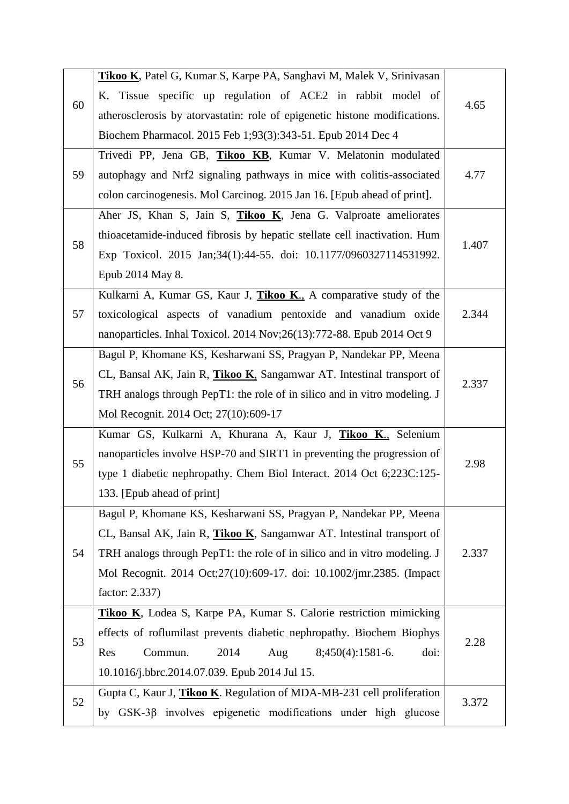|    | Tikoo K, Patel G, Kumar S, Karpe PA, Sanghavi M, Malek V, Srinivasan       |       |  |
|----|----------------------------------------------------------------------------|-------|--|
| 60 | K. Tissue specific up regulation of ACE2 in rabbit model of                |       |  |
|    | atherosclerosis by atorvastatin: role of epigenetic histone modifications. | 4.65  |  |
|    | Biochem Pharmacol. 2015 Feb 1;93(3):343-51. Epub 2014 Dec 4                |       |  |
|    | Trivedi PP, Jena GB, Tikoo KB, Kumar V. Melatonin modulated                | 4.77  |  |
| 59 | autophagy and Nrf2 signaling pathways in mice with colitis-associated      |       |  |
|    | colon carcinogenesis. Mol Carcinog. 2015 Jan 16. [Epub ahead of print].    |       |  |
|    | Aher JS, Khan S, Jain S, Tikoo K, Jena G. Valproate ameliorates            |       |  |
|    | thioacetamide-induced fibrosis by hepatic stellate cell inactivation. Hum  | 1.407 |  |
| 58 | Exp Toxicol. 2015 Jan;34(1):44-55. doi: 10.1177/0960327114531992.          |       |  |
|    | Epub 2014 May 8.                                                           |       |  |
|    | Kulkarni A, Kumar GS, Kaur J, Tikoo K., A comparative study of the         |       |  |
| 57 | toxicological aspects of vanadium pentoxide and vanadium oxide             | 2.344 |  |
|    | nanoparticles. Inhal Toxicol. 2014 Nov; 26(13): 772-88. Epub 2014 Oct 9    |       |  |
|    | Bagul P, Khomane KS, Kesharwani SS, Pragyan P, Nandekar PP, Meena          |       |  |
|    | CL, Bansal AK, Jain R, Tikoo K, Sangamwar AT. Intestinal transport of      | 2.337 |  |
| 56 | TRH analogs through PepT1: the role of in silico and in vitro modeling. J  |       |  |
|    | Mol Recognit. 2014 Oct; 27(10):609-17                                      |       |  |
|    | Kumar GS, Kulkarni A, Khurana A, Kaur J, Tikoo K., Selenium                |       |  |
| 55 | nanoparticles involve HSP-70 and SIRT1 in preventing the progression of    | 2.98  |  |
|    | type 1 diabetic nephropathy. Chem Biol Interact. 2014 Oct 6;223C:125-      |       |  |
|    | 133. [Epub ahead of print]                                                 |       |  |
|    | Bagul P, Khomane KS, Kesharwani SS, Pragyan P, Nandekar PP, Meena          |       |  |
|    | CL, Bansal AK, Jain R, Tikoo K, Sangamwar AT. Intestinal transport of      |       |  |
| 54 | TRH analogs through PepT1: the role of in silico and in vitro modeling. J  | 2.337 |  |
|    | Mol Recognit. 2014 Oct;27(10):609-17. doi: 10.1002/jmr.2385. (Impact       |       |  |
|    | factor: 2.337)                                                             |       |  |
|    | Tikoo K, Lodea S, Karpe PA, Kumar S. Calorie restriction mimicking         |       |  |
|    | effects of roflumilast prevents diabetic nephropathy. Biochem Biophys      | 2.28  |  |
| 53 | Commun.<br>2014<br>$8;450(4):1581-6.$<br>Aug<br>doi:<br>Res                |       |  |
|    | 10.1016/j.bbrc.2014.07.039. Epub 2014 Jul 15.                              |       |  |
| 52 | Gupta C, Kaur J, Tikoo K. Regulation of MDA-MB-231 cell proliferation      | 3.372 |  |
|    | by GSK-3β involves epigenetic modifications under high glucose             |       |  |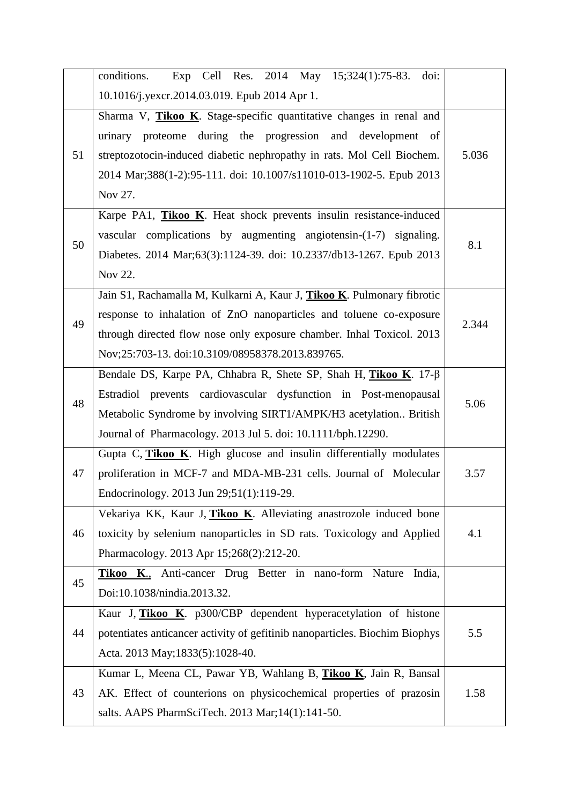|    | Exp Cell Res. 2014 May 15;324(1):75-83. doi:<br>conditions.                 |       |  |
|----|-----------------------------------------------------------------------------|-------|--|
|    | 10.1016/j.yexcr.2014.03.019. Epub 2014 Apr 1.                               |       |  |
|    | Sharma V, Tikoo K. Stage-specific quantitative changes in renal and         |       |  |
| 51 | urinary proteome during the progression and development of                  |       |  |
|    | streptozotocin-induced diabetic nephropathy in rats. Mol Cell Biochem.      | 5.036 |  |
|    | 2014 Mar;388(1-2):95-111. doi: 10.1007/s11010-013-1902-5. Epub 2013         |       |  |
|    | Nov 27.                                                                     |       |  |
|    | Karpe PA1, Tikoo K. Heat shock prevents insulin resistance-induced          |       |  |
|    | vascular complications by augmenting angiotensin- $(1-7)$ signaling.        |       |  |
| 50 | Diabetes. 2014 Mar;63(3):1124-39. doi: 10.2337/db13-1267. Epub 2013         | 8.1   |  |
|    | Nov 22.                                                                     |       |  |
|    | Jain S1, Rachamalla M, Kulkarni A, Kaur J, Tikoo K. Pulmonary fibrotic      |       |  |
|    | response to inhalation of ZnO nanoparticles and toluene co-exposure         | 2.344 |  |
| 49 | through directed flow nose only exposure chamber. Inhal Toxicol. 2013       |       |  |
|    | Nov;25:703-13. doi:10.3109/08958378.2013.839765.                            |       |  |
|    | Bendale DS, Karpe PA, Chhabra R, Shete SP, Shah H, Tikoo K. 17-B            |       |  |
|    | Estradiol prevents cardiovascular dysfunction in Post-menopausal            |       |  |
| 48 | Metabolic Syndrome by involving SIRT1/AMPK/H3 acetylation British           | 5.06  |  |
|    | Journal of Pharmacology. 2013 Jul 5. doi: 10.1111/bph.12290.                |       |  |
|    | Gupta C, Tikoo K. High glucose and insulin differentially modulates         |       |  |
| 47 | proliferation in MCF-7 and MDA-MB-231 cells. Journal of Molecular           | 3.57  |  |
|    | Endocrinology. 2013 Jun 29;51(1):119-29.                                    |       |  |
|    | Vekariya KK, Kaur J, Tikoo K. Alleviating anastrozole induced bone          |       |  |
| 46 | toxicity by selenium nanoparticles in SD rats. Toxicology and Applied       | 4.1   |  |
|    | Pharmacology. 2013 Apr 15;268(2):212-20.                                    |       |  |
| 45 | Tikoo K., Anti-cancer Drug Better in nano-form Nature<br>India.             |       |  |
|    | Doi:10.1038/nindia.2013.32.                                                 |       |  |
|    | Kaur J, Tikoo K. p300/CBP dependent hyperacetylation of histone             |       |  |
| 44 | potentiates anticancer activity of gefitinib nanoparticles. Biochim Biophys | 5.5   |  |
|    | Acta. 2013 May; 1833(5): 1028-40.                                           |       |  |
|    | Kumar L, Meena CL, Pawar YB, Wahlang B, Tikoo K, Jain R, Bansal             |       |  |
| 43 | AK. Effect of counterions on physicochemical properties of prazosin         | 1.58  |  |
|    | salts. AAPS PharmSciTech. 2013 Mar;14(1):141-50.                            |       |  |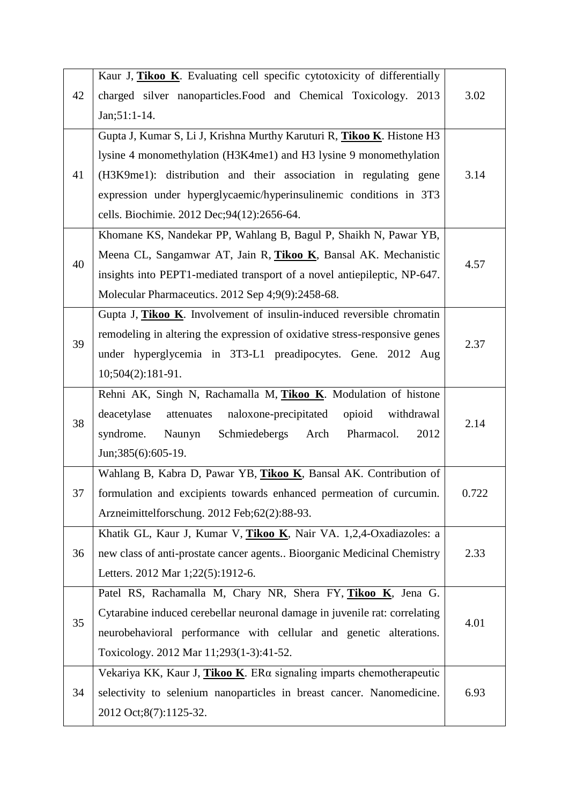|    | Kaur J, Tikoo K. Evaluating cell specific cytotoxicity of differentially   |       |  |
|----|----------------------------------------------------------------------------|-------|--|
| 42 | charged silver nanoparticles. Food and Chemical Toxicology. 2013           | 3.02  |  |
|    | $Jan; 51:1-14.$                                                            |       |  |
|    | Gupta J, Kumar S, Li J, Krishna Murthy Karuturi R, Tikoo K. Histone H3     |       |  |
|    | lysine 4 monomethylation (H3K4me1) and H3 lysine 9 monomethylation         |       |  |
| 41 | (H3K9me1): distribution and their association in regulating gene           | 3.14  |  |
|    | expression under hyperglycaemic/hyperinsulinemic conditions in 3T3         |       |  |
|    | cells. Biochimie. 2012 Dec;94(12):2656-64.                                 |       |  |
|    | Khomane KS, Nandekar PP, Wahlang B, Bagul P, Shaikh N, Pawar YB,           |       |  |
| 40 | Meena CL, Sangamwar AT, Jain R, Tikoo K, Bansal AK. Mechanistic            |       |  |
|    | insights into PEPT1-mediated transport of a novel antiepileptic, NP-647.   | 4.57  |  |
|    | Molecular Pharmaceutics. 2012 Sep 4;9(9):2458-68.                          |       |  |
|    | Gupta J, Tikoo K. Involvement of insulin-induced reversible chromatin      |       |  |
| 39 | remodeling in altering the expression of oxidative stress-responsive genes | 2.37  |  |
|    | under hyperglycemia in 3T3-L1 preadipocytes. Gene. 2012 Aug                |       |  |
|    | $10;504(2):181-91.$                                                        |       |  |
|    | Rehni AK, Singh N, Rachamalla M, Tikoo K. Modulation of histone            |       |  |
| 38 | naloxone-precipitated<br>deacetylase<br>attenuates<br>opioid<br>withdrawal | 2.14  |  |
|    | Schmiedebergs Arch<br>Pharmacol.<br>2012<br>syndrome.<br>Naunyn            |       |  |
|    | Jun; 385(6): 605-19.                                                       |       |  |
|    | Wahlang B, Kabra D, Pawar YB, Tikoo K, Bansal AK. Contribution of          |       |  |
| 37 | formulation and excipients towards enhanced permeation of curcumin.        | 0.722 |  |
|    | Arzneimittelforschung. 2012 Feb;62(2):88-93.                               |       |  |
|    | Khatik GL, Kaur J, Kumar V, Tikoo K, Nair VA. 1,2,4-Oxadiazoles: a         |       |  |
| 36 | new class of anti-prostate cancer agents Bioorganic Medicinal Chemistry    | 2.33  |  |
|    | Letters. 2012 Mar 1;22(5):1912-6.                                          |       |  |
|    | Patel RS, Rachamalla M, Chary NR, Shera FY, Tikoo K, Jena G.               |       |  |
| 35 | Cytarabine induced cerebellar neuronal damage in juvenile rat: correlating | 4.01  |  |
|    | neurobehavioral performance with cellular and genetic alterations.         |       |  |
|    | Toxicology. 2012 Mar 11;293(1-3):41-52.                                    |       |  |
| 34 | Vekariya KK, Kaur J, Tikoo K. ERa signaling imparts chemotherapeutic       |       |  |
|    | selectivity to selenium nanoparticles in breast cancer. Nanomedicine.      | 6.93  |  |
|    | 2012 Oct;8(7):1125-32.                                                     |       |  |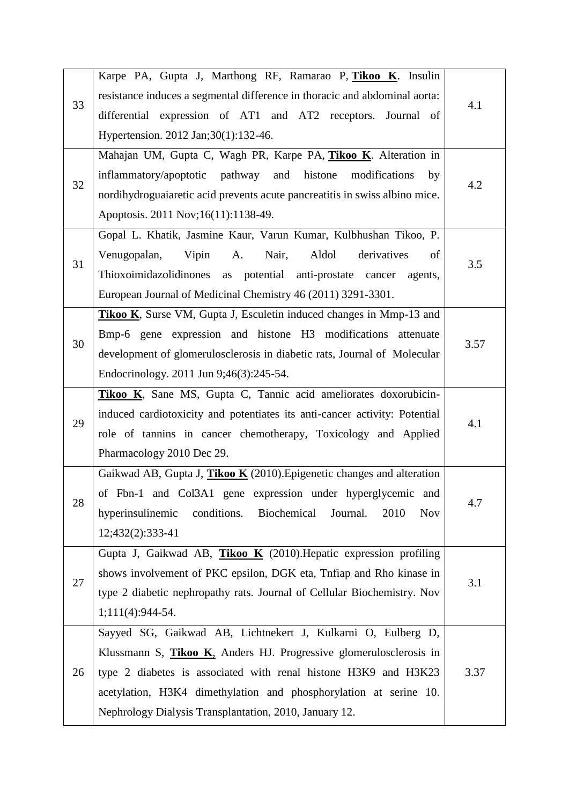|    | Karpe PA, Gupta J, Marthong RF, Ramarao P, Tikoo K. Insulin                      |      |  |
|----|----------------------------------------------------------------------------------|------|--|
| 33 | resistance induces a segmental difference in thoracic and abdominal aorta:       | 4.1  |  |
|    | differential expression of AT1 and AT2 receptors. Journal of                     |      |  |
|    | Hypertension. 2012 Jan;30(1):132-46.                                             |      |  |
|    | Mahajan UM, Gupta C, Wagh PR, Karpe PA, Tikoo K. Alteration in                   |      |  |
|    | inflammatory/apoptotic pathway and histone<br>modifications<br>by                | 4.2  |  |
| 32 | nordihydroguaiaretic acid prevents acute pancreatitis in swiss albino mice.      |      |  |
|    | Apoptosis. 2011 Nov;16(11):1138-49.                                              |      |  |
|    | Gopal L. Khatik, Jasmine Kaur, Varun Kumar, Kulbhushan Tikoo, P.                 |      |  |
| 31 | Aldol<br>derivatives<br>Venugopalan,<br>Vipin<br>Nair,<br>A.<br>of               |      |  |
|    | Thioxoimidazolidinones as potential anti-prostate cancer agents,                 | 3.5  |  |
|    | European Journal of Medicinal Chemistry 46 (2011) 3291-3301.                     |      |  |
|    | <b>Tikoo K</b> , Surse VM, Gupta J, Esculetin induced changes in Mmp-13 and      |      |  |
| 30 | Bmp-6 gene expression and histone H3 modifications attenuate                     | 3.57 |  |
|    | development of glomerulosclerosis in diabetic rats, Journal of Molecular         |      |  |
|    | Endocrinology. 2011 Jun 9;46(3):245-54.                                          |      |  |
|    | Tikoo K, Sane MS, Gupta C, Tannic acid ameliorates doxorubicin-                  | 4.1  |  |
| 29 | induced cardiotoxicity and potentiates its anti-cancer activity: Potential       |      |  |
|    | role of tannins in cancer chemotherapy, Toxicology and Applied                   |      |  |
|    | Pharmacology 2010 Dec 29.                                                        |      |  |
|    | Gaikwad AB, Gupta J, <b>Tikoo K</b> (2010). Epigenetic changes and alteration    |      |  |
| 28 | of Fbn-1 and Col3A1 gene expression under hyperglycemic and                      | 4.7  |  |
|    | hyperinsulinemic<br>conditions.<br>Biochemical<br>Journal.<br>2010<br><b>Nov</b> |      |  |
|    | 12;432(2):333-41                                                                 |      |  |
|    | Gupta J, Gaikwad AB, Tikoo K $(2010)$ . Hepatic expression profiling             |      |  |
| 27 | shows involvement of PKC epsilon, DGK eta, Tnfiap and Rho kinase in              | 3.1  |  |
|    | type 2 diabetic nephropathy rats. Journal of Cellular Biochemistry. Nov          |      |  |
|    | $1;111(4):944-54.$                                                               |      |  |
|    | Sayyed SG, Gaikwad AB, Lichtnekert J, Kulkarni O, Eulberg D,                     |      |  |
| 26 | Klussmann S, Tikoo K, Anders HJ. Progressive glomerulosclerosis in               |      |  |
|    | type 2 diabetes is associated with renal histone H3K9 and H3K23                  | 3.37 |  |
|    | acetylation, H3K4 dimethylation and phosphorylation at serine 10.                |      |  |
|    | Nephrology Dialysis Transplantation, 2010, January 12.                           |      |  |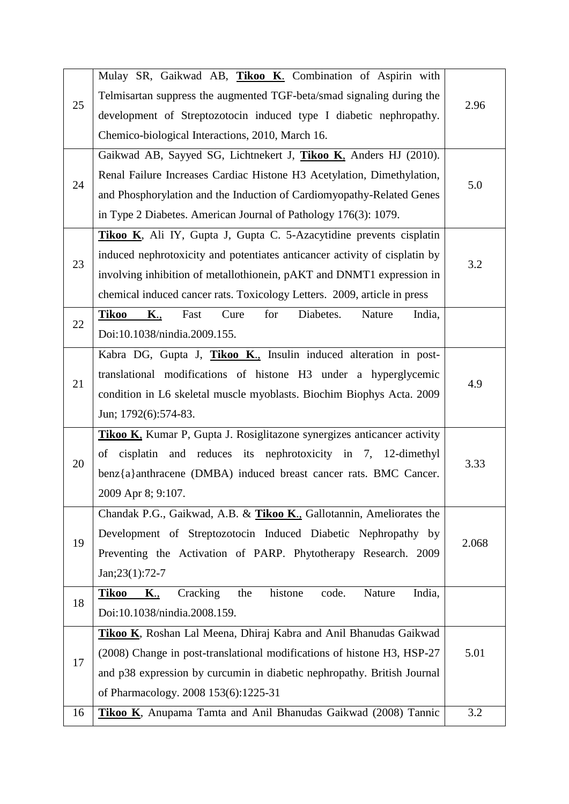|    | Mulay SR, Gaikwad AB, Tikoo K. Combination of Aspirin with                            |       |  |
|----|---------------------------------------------------------------------------------------|-------|--|
| 25 | Telmisartan suppress the augmented TGF-beta/smad signaling during the                 |       |  |
|    | development of Streptozotocin induced type I diabetic nephropathy.                    | 2.96  |  |
|    | Chemico-biological Interactions, 2010, March 16.                                      |       |  |
|    | Gaikwad AB, Sayyed SG, Lichtnekert J, Tikoo K, Anders HJ (2010).                      |       |  |
| 24 | Renal Failure Increases Cardiac Histone H3 Acetylation, Dimethylation,                |       |  |
|    | and Phosphorylation and the Induction of Cardiomyopathy-Related Genes                 | 5.0   |  |
|    | in Type 2 Diabetes. American Journal of Pathology 176(3): 1079.                       |       |  |
|    | Tikoo K, Ali IY, Gupta J, Gupta C. 5-Azacytidine prevents cisplatin                   |       |  |
| 23 | induced nephrotoxicity and potentiates anticancer activity of cisplatin by            |       |  |
|    | involving inhibition of metallothionein, pAKT and DNMT1 expression in                 | 3.2   |  |
|    | chemical induced cancer rats. Toxicology Letters. 2009, article in press              |       |  |
| 22 | <b>Tikoo</b><br>Diabetes.<br><b>K.,</b><br>Fast<br>Cure<br>for<br>Nature<br>India,    |       |  |
|    | Doi:10.1038/nindia.2009.155.                                                          |       |  |
|    | Kabra DG, Gupta J, Tikoo K., Insulin induced alteration in post-                      | 4.9   |  |
| 21 | translational modifications of histone H3 under a hyperglycemic                       |       |  |
|    | condition in L6 skeletal muscle myoblasts. Biochim Biophys Acta. 2009                 |       |  |
|    | Jun; 1792(6):574-83.                                                                  |       |  |
|    | Tikoo K, Kumar P, Gupta J. Rosiglitazone synergizes anticancer activity               |       |  |
| 20 | of cisplatin and reduces its nephrotoxicity in 7, 12-dimethyl                         | 3.33  |  |
|    | benz{a}anthracene (DMBA) induced breast cancer rats. BMC Cancer.                      |       |  |
|    | 2009 Apr 8; 9:107.                                                                    |       |  |
|    | Chandak P.G., Gaikwad, A.B. & Tikoo K., Gallotannin, Ameliorates the                  |       |  |
| 19 | Development of Streptozotocin Induced Diabetic Nephropathy by                         | 2.068 |  |
|    | Preventing the Activation of PARP. Phytotherapy Research. 2009                        |       |  |
|    | $Jan;23(1):72-7$                                                                      |       |  |
| 18 | India,<br>Cracking<br>the<br>histone<br>code.<br>Nature<br><b>Tikoo</b><br><b>K.,</b> |       |  |
|    | Doi:10.1038/nindia.2008.159.                                                          |       |  |
| 17 | Tikoo K, Roshan Lal Meena, Dhiraj Kabra and Anil Bhanudas Gaikwad                     |       |  |
|    | (2008) Change in post-translational modifications of histone H3, HSP-27               | 5.01  |  |
|    | and p38 expression by curcumin in diabetic nephropathy. British Journal               |       |  |
|    | of Pharmacology. 2008 153(6):1225-31                                                  |       |  |
| 16 | Tikoo K, Anupama Tamta and Anil Bhanudas Gaikwad (2008) Tannic                        | 3.2   |  |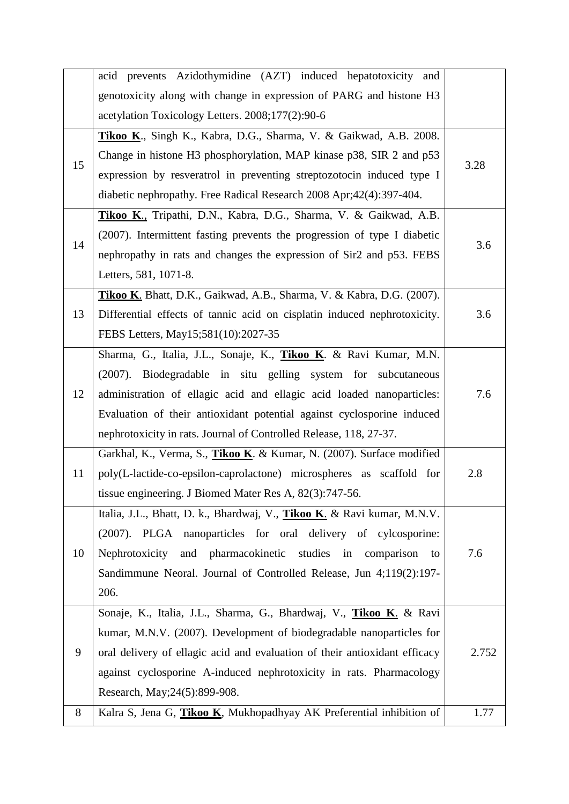|    | acid prevents Azidothymidine (AZT) induced hepatotoxicity and              |       |  |  |
|----|----------------------------------------------------------------------------|-------|--|--|
|    | genotoxicity along with change in expression of PARG and histone H3        |       |  |  |
|    | acetylation Toxicology Letters. 2008;177(2):90-6                           |       |  |  |
|    | Tikoo K., Singh K., Kabra, D.G., Sharma, V. & Gaikwad, A.B. 2008.          |       |  |  |
|    | Change in histone H3 phosphorylation, MAP kinase p38, SIR 2 and p53        | 3.28  |  |  |
| 15 | expression by resveratrol in preventing streptozotocin induced type I      |       |  |  |
|    | diabetic nephropathy. Free Radical Research 2008 Apr; 42(4): 397-404.      |       |  |  |
|    | Tikoo K., Tripathi, D.N., Kabra, D.G., Sharma, V. & Gaikwad, A.B.          |       |  |  |
|    | (2007). Intermittent fasting prevents the progression of type I diabetic   | 3.6   |  |  |
| 14 | nephropathy in rats and changes the expression of Sir2 and p53. FEBS       |       |  |  |
|    | Letters, 581, 1071-8.                                                      |       |  |  |
|    | Tikoo K. Bhatt, D.K., Gaikwad, A.B., Sharma, V. & Kabra, D.G. (2007).      |       |  |  |
| 13 | Differential effects of tannic acid on cisplatin induced nephrotoxicity.   | 3.6   |  |  |
|    | FEBS Letters, May15;581(10):2027-35                                        |       |  |  |
|    | Sharma, G., Italia, J.L., Sonaje, K., Tikoo K. & Ravi Kumar, M.N.          |       |  |  |
|    | (2007). Biodegradable in situ gelling system for subcutaneous              |       |  |  |
| 12 | administration of ellagic acid and ellagic acid loaded nanoparticles:      | 7.6   |  |  |
|    | Evaluation of their antioxidant potential against cyclosporine induced     |       |  |  |
|    | nephrotoxicity in rats. Journal of Controlled Release, 118, 27-37.         |       |  |  |
|    | Garkhal, K., Verma, S., Tikoo K. & Kumar, N. (2007). Surface modified      |       |  |  |
| 11 | poly(L-lactide-co-epsilon-caprolactone) microspheres as scaffold for       | 2.8   |  |  |
|    | tissue engineering. J Biomed Mater Res A, 82(3):747-56.                    |       |  |  |
|    | Italia, J.L., Bhatt, D. k., Bhardwaj, V., Tikoo K. & Ravi kumar, M.N.V.    |       |  |  |
|    | (2007). PLGA nanoparticles for oral delivery of cylcosporine:              |       |  |  |
| 10 | Nephrotoxicity and pharmacokinetic studies in comparison<br>to             | 7.6   |  |  |
|    | Sandimmune Neoral. Journal of Controlled Release, Jun 4;119(2):197-        |       |  |  |
|    | 206.                                                                       |       |  |  |
|    | Sonaje, K., Italia, J.L., Sharma, G., Bhardwaj, V., Tikoo K. & Ravi        |       |  |  |
|    | kumar, M.N.V. (2007). Development of biodegradable nanoparticles for       |       |  |  |
| 9  | oral delivery of ellagic acid and evaluation of their antioxidant efficacy | 2.752 |  |  |
|    | against cyclosporine A-induced nephrotoxicity in rats. Pharmacology        |       |  |  |
|    | Research, May; 24(5): 899-908.                                             |       |  |  |
| 8  | Kalra S, Jena G, Tikoo K, Mukhopadhyay AK Preferential inhibition of       | 1.77  |  |  |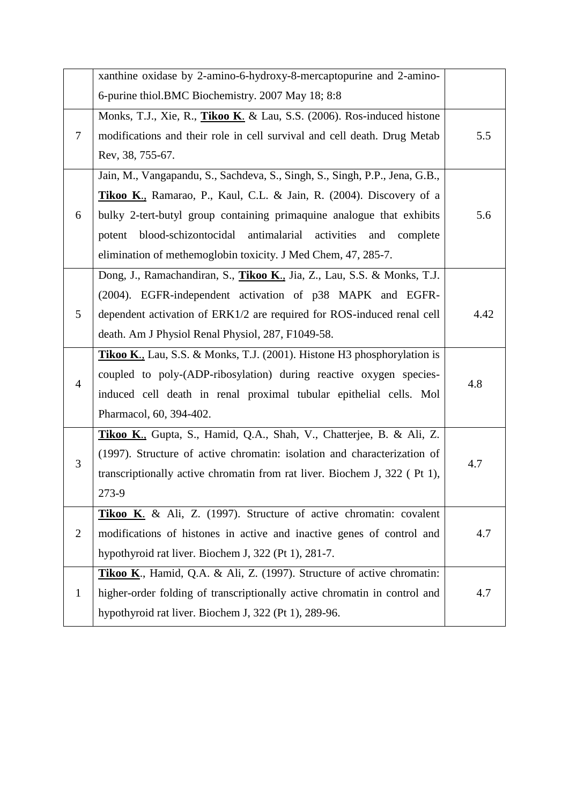|                | xanthine oxidase by 2-amino-6-hydroxy-8-mercaptopurine and 2-amino-               |      |  |
|----------------|-----------------------------------------------------------------------------------|------|--|
|                | 6-purine thiol.BMC Biochemistry. 2007 May 18; 8:8                                 |      |  |
|                | Monks, T.J., Xie, R., <i>Tikoo K. &amp; Lau, S.S.</i> (2006). Ros-induced histone |      |  |
| 7              | modifications and their role in cell survival and cell death. Drug Metab          | 5.5  |  |
|                | Rev, 38, 755-67.                                                                  |      |  |
|                | Jain, M., Vangapandu, S., Sachdeva, S., Singh, S., Singh, P.P., Jena, G.B.,       |      |  |
|                | Tikoo K., Ramarao, P., Kaul, C.L. & Jain, R. (2004). Discovery of a               |      |  |
| 6              | bulky 2-tert-butyl group containing primaquine analogue that exhibits             | 5.6  |  |
|                | activities<br>blood-schizontocidal antimalarial<br>and<br>complete<br>potent      |      |  |
|                | elimination of methemoglobin toxicity. J Med Chem, 47, 285-7.                     |      |  |
|                | Dong, J., Ramachandiran, S., <i>Tikoo K.</i> , Jia, Z., Lau, S.S. & Monks, T.J.   |      |  |
|                | (2004). EGFR-independent activation of p38 MAPK and EGFR-                         |      |  |
| 5              | dependent activation of ERK1/2 are required for ROS-induced renal cell            | 4.42 |  |
|                | death. Am J Physiol Renal Physiol, 287, F1049-58.                                 |      |  |
|                | Tikoo K., Lau, S.S. & Monks, T.J. (2001). Histone H3 phosphorylation is           |      |  |
| 4              | coupled to poly-(ADP-ribosylation) during reactive oxygen species-                | 4.8  |  |
|                | induced cell death in renal proximal tubular epithelial cells. Mol                |      |  |
|                | Pharmacol, 60, 394-402.                                                           |      |  |
|                | Tikoo K., Gupta, S., Hamid, Q.A., Shah, V., Chatterjee, B. & Ali, Z.              |      |  |
| 3              | (1997). Structure of active chromatin: isolation and characterization of          | 4.7  |  |
|                | transcriptionally active chromatin from rat liver. Biochem J, 322 (Pt 1),         |      |  |
|                | 273-9                                                                             |      |  |
|                | <b>Tikoo K.</b> & Ali, Z. (1997). Structure of active chromatin: covalent         |      |  |
| $\overline{2}$ | modifications of histones in active and inactive genes of control and             | 4.7  |  |
|                | hypothyroid rat liver. Biochem J, 322 (Pt 1), 281-7.                              |      |  |
| $\mathbf{1}$   | Tikoo K., Hamid, Q.A. & Ali, Z. (1997). Structure of active chromatin:            |      |  |
|                | higher-order folding of transcriptionally active chromatin in control and         | 4.7  |  |
|                | hypothyroid rat liver. Biochem J, 322 (Pt 1), 289-96.                             |      |  |